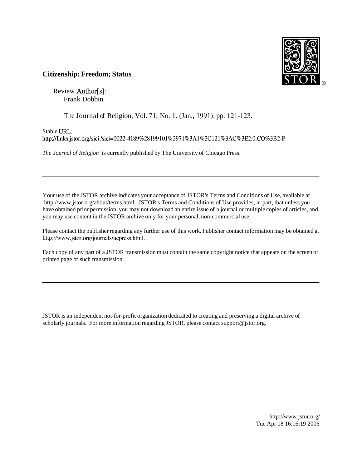

## **Citizenship; Freedom; Status**

Review Author[s]: Frank Dobbin

The Journal of Religion, Vol. 71, No. 1. (Jan., 1991), pp. 121-123.

Stable URL:

**http://links.jstor.org/sici?sici=0022-4189%28199101%2971%3A1%3C121%3AC%3E2.O.C0%3B2-P** 

*The Journal of Religion* is currently published by The University of Chicago Press.

Your use of the JSTOR archive indicates your acceptance of JSTOR's Terms and Conditions of Use, available at http://www.jstor.org/about/terms.html. JSTOR's Terms and Conditions of Use provides, in part, that unless you have obtained prior permission, you may not download an entire issue of a journal or multiple copies of articles, and you may use content in the JSTOR archive only for your personal, non-commercial use.

Please contact the publisher regarding any further use of this work. Publisher contact information may be obtained at http://www.jstor.org/journals/ucpress.html.

Each copy of any part of a JSTOR transmission must contain the same copyright notice that appears on the screen or printed page of such transmission.

JSTOR is an independent not-for-profit organization dedicated to creating and preserving a digital archive of scholarly journals. For more information regarding JSTOR, please contact support@jstor.org.

> http://www.jstor.org/ Tue Apr 18 16:16:19 2006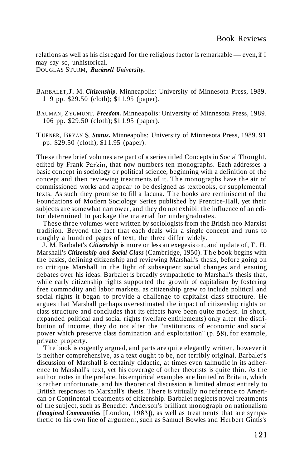relations as well as his disregard for the religious factor is remarkable  $-$  even, if I may say so, unhistorical. DOUGLAS STURM, *Bucknell University.* 

BARBALET, J. M. *Citizenship.* Minneapolis: University of Minnesota Press, 1989. 1 19 pp. \$29.50 (cloth); \$1 1.95 (paper).

BAUMAN, ZYGMUNT. *Freedom.* Minneapolis: University of Minnesota Press, 1989. 106 pp. \$29.50 (cloth); \$1 1.95 (paper).

TURNER, BRYAN S. *Status.* Minneapolis: University of Minnesota Press, 1989. 91 pp. \$29.50 (cloth); \$1 1.95 (paper).

These three brief volumes are part of a series titled Concepts in Social Thought, edited by Frank Parkin, that now numbers ten monographs. Each addresses a basic concept in sociology or political science, beginning with a definition of the concept and then reviewing treatments of it. The monographs have the air of commissioned works and appear to be designed as textbooks, or supplemental texts. As such they promise to fill a lacuna. The books are reminiscent of the Foundations of Modern Sociology Series published by Prentice-Hall, yet their subjects are somewhat narrower, and they do not exhibit the influence of an editor determined to package the material for undergraduates.

These three volumes were written by sociologists from the British neo-Marxist tradition. Beyond the fact that each deals with a single concept and runs to roughly a hundred pages of text, the three differ widely.

J. M. Barbalet's *Citizenship* is more or less an exegesis on, and update of, T. H. Marshall's *Citizenship and Social Class* (Cambridge, 1950). The book begins with the basics, defining citizenship and reviewing Marshall's thesis, before going on to critique Marshall in the light of subsequent social changes and ensuing debates over his ideas. Barbalet is broadly sympathetic to Marshall's thesis that, while early citizenship rights supported the growth of capitalism by fostering free commodity and labor markets, as citizenship grew to include political and social rights it began to provide a challenge to capitalist class structure. He argues that Marshall perhaps overestimated the impact of citizenship rights on class structure and concludes that its effects have been quite modest. In short, expanded political and social rights (welfare entitlements) only alter the distribution of income, they do not alter the "institutions of economic and social power which preserve class domination and exploitation" (p. 58), for example, private property.

The book is cogently argued, and parts are quite elegantly written, however it is neither comprehensive, as a text ought to be, nor terribly original. Barbalet's discussion of Marshall is certainly didactic, at times even talmudic in its adherence to Marshall's text, yet his coverage of other theorists is quite thin. As the author notes in the preface, his empirical examples are limited to Britain, which is rather unfortunate, and his theoretical discussion is limited almost entirely to British responses to Marshall's thesis. There is virtually no reference to American or Continental treatments of citizenship. Barbalet neglects novel treatments of the subject, such as Benedict Anderson's brilliant monograph on nationalism *(Imagined Communities* [London, 1983]), as well as treatments that are sympathetic to his own line of argument, such as Samuel Bowles and Herbert Gintis's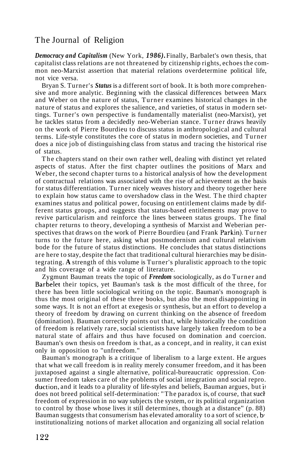## The Journal of Religion

*Democracy and Capitalism* (New York, *1986).* Finally, Barbalet's own thesis, that capitalist class relations are not threatened by citizenship rights, echoes the common neo-Marxist assertion that material relations overdetermine political life, not vice versa.

Bryan S. Turner's *Status* is a different sort of book. It is both more comprehensive and more analytic. Beginning with the classical differences between Marx and Weber on the nature of status, Turner examines historical changes in the nature of status and explores the salience, and varieties, of status in modern settings. Turner's own perspective is fundamentally materialist (neo-Marxist), yet he tackles status from a decidedly neo-Weberian stance. Turner draws heavily on the work of Pierre Bourdieu to discuss status in anthropological and cultural terms. Life-style constitutes the core of status in modern societies, and Turner does a nice job of distinguishing class from status and tracing the historical rise of status.

The chapters stand on their own rather well, dealing with distinct yet related aspects of status. After the first chapter outlines the positions of Marx and Weber, the second chapter turns to a historical analysis of how the development of contractual relations was associated with the rise of achievement as the basis for status differentiation. Turner nicely weaves history and theory together here to explain how status came to overshadow class in the West. The third chapter examines status and political power, focusing on entitlement claims made by different status groups, and suggests that status-based entitlements may prove to revive particularism and reinforce the lines between status groups. The final chapter returns to theory, developing a synthesis of Marxist and Weberian perspectives that draws on the work of Pierre Bourdieu (and Frank Parkin). Turner turns to the future here, asking what postmodernism and cultural relativism bode for the future of status distinctions. He concludes that status distinctions are here to stay, despite the fact that traditional cultural hierarchies may be disintegrating. **A** strength of this volume is Turner's pluralistic approach to the topic and his coverage of a wide range of literature.

Zygmunt Bauman treats the topic of *Freedom* sociologically, as do Turner and Barbelet their topics, yet Bauman's task is the most difficult of the three, for there has been little sociological writing on the topic. Bauman's monograph is thus the most original of these three books, but also the most disappointing in some ways. It is not an effort at exegesis or synthesis, but an effort to develop a theory of freedom by drawing on current thinking on the absence of freedom (domination). Bauman correctly points out that, while historically the condition of freedom is relatively rare, social scientists have largely taken freedom to be a natural state of affairs and thus have focused on domination and coercion. Bauman's own thesis on freedom is that, as a concept, and in reality, it can exist only in opposition to "unfreedom."

Bauman's monograph is a critique of liberalism to a large extent. He argues that what we call freedom is in reality merely consumer freedom, and it has been juxtaposed against a single alternative, political-bureaucratic oppression. Consumer freedom takes care of the problems of social integration and social repro. duction, and it leads to a plurality of life-styles and beliefs, Bauman argues, but it does not breed political self-determination: "The paradox is, of course, that suck freedom of expression in no way subjects the system, or its political organization to control by those whose lives it still determines, though at a distance" (p. 88) Bauman suggests that consumerism has elevated amorality to a sort of science, b institutionalizing notions of market allocation and organizing all social relation